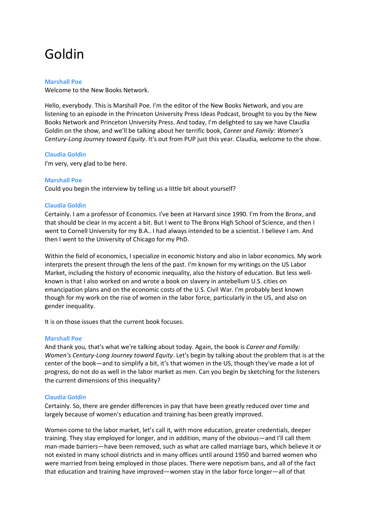# Goldin

# **Marshall Poe**

Welcome to the New Books Network.

Hello, everybody. This is Marshall Poe. I'm the editor of the New Books Network, and you are listening to an episode in the Princeton University Press Ideas Podcast, brought to you by the New Books Network and Princeton University Press. And today, I'm delighted to say we have Claudia Goldin on the show, and we'll be talking about her terrific book, *Career and Family: Women's Century-Long Journey toward Equity*. It's out from PUP just this year. Claudia, welcome to the show.

# **Claudia Goldin**

I'm very, very glad to be here.

# **Marshall Poe**

Could you begin the interview by telling us a little bit about yourself?

# **Claudia Goldin**

Certainly. I am a professor of Economics. I've been at Harvard since 1990. I'm from the Bronx, and that should be clear in my accent a bit. But I went to The Bronx High School of Science, and then I went to Cornell University for my B.A.. I had always intended to be a scientist. I believe I am. And then I went to the University of Chicago for my PhD.

Within the field of economics, I specialize in economic history and also in labor economics. My work interprets the present through the lens of the past. I'm known for my writings on the US Labor Market, including the history of economic inequality, also the history of education. But less wellknown is that I also worked on and wrote a book on slavery in antebellum U.S. cities on emancipation plans and on the economic costs of the U.S. Civil War. I'm probably best known though for my work on the rise of women in the labor force, particularly in the US, and also on gender inequality.

It is on those issues that the current book focuses.

# **Marshall Poe**

And thank you, that's what we're talking about today. Again, the book is *Career and Familly: Women's Century-Long Journey toward Equity*. Let's begin by talking about the problem that is at the center of the book—and to simplify a bit, it's that women in the US, though they've made a lot of progress, do not do as well in the labor market as men. Can you begin by sketching for the listeners the current dimensions of this inequality?

# **Claudia Goldin**

Certainly. So, there are gender differences in pay that have been greatly reduced over time and largely because of women's education and training has been greatly improved.

Women come to the labor market, let's call it, with more education, greater credentials, deeper training. They stay employed for longer, and in addition, many of the obvious—and I'll call them man-made barriers—have been removed, such as what are called marriage bars, which believe it or not existed in many school districts and in many offices until around 1950 and barred women who were married from being employed in those places. There were nepotism bans, and all of the fact that education and training have improved—women stay in the labor force longer—all of that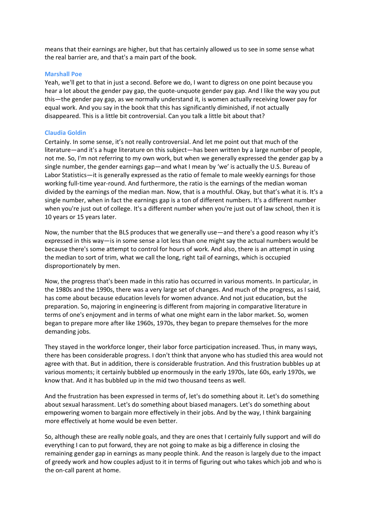means that their earnings are higher, but that has certainly allowed us to see in some sense what the real barrier are, and that's a main part of the book.

# **Marshall Poe**

Yeah, we'll get to that in just a second. Before we do, I want to digress on one point because you hear a lot about the gender pay gap, the quote-unquote gender pay gap. And I like the way you put this—the gender pay gap, as we normally understand it, is women actually receiving lower pay for equal work. And you say in the book that this has significantly diminished, if not actually disappeared. This is a little bit controversial. Can you talk a little bit about that?

# **Claudia Goldin**

Certainly. In some sense, it's not really controversial. And let me point out that much of the literature—and it's a huge literature on this subject—has been written by a large number of people, not me. So, I'm not referring to my own work, but when we generally expressed the gender gap by a single number, the gender earnings gap—and what I mean by 'we' is actually the U.S. Bureau of Labor Statistics—it is generally expressed as the ratio of female to male weekly earnings for those working full-time year-round. And furthermore, the ratio is the earnings of the median woman divided by the earnings of the median man. Now, that is a mouthful. Okay, but that's what it is. It's a single number, when in fact the earnings gap is a ton of different numbers. It's a different number when you're just out of college. It's a different number when you're just out of law school, then it is 10 years or 15 years later.

Now, the number that the BLS produces that we generally use—and there's a good reason why it's expressed in this way—is in some sense a lot less than one might say the actual numbers would be because there's some attempt to control for hours of work. And also, there is an attempt in using the median to sort of trim, what we call the long, right tail of earnings, which is occupied disproportionately by men.

Now, the progress that's been made in this ratio has occurred in various moments. In particular, in the 1980s and the 1990s, there was a very large set of changes. And much of the progress, as I said, has come about because education levels for women advance. And not just education, but the preparation. So, majoring in engineering is different from majoring in comparative literature in terms of one's enjoyment and in terms of what one might earn in the labor market. So, women began to prepare more after like 1960s, 1970s, they began to prepare themselves for the more demanding jobs.

They stayed in the workforce longer, their labor force participation increased. Thus, in many ways, there has been considerable progress. I don't think that anyone who has studied this area would not agree with that. But in addition, there is considerable frustration. And this frustration bubbles up at various moments; it certainly bubbled up enormously in the early 1970s, late 60s, early 1970s, we know that. And it has bubbled up in the mid two thousand teens as well.

And the frustration has been expressed in terms of, let's do something about it. Let's do something about sexual harassment. Let's do something about biased managers. Let's do something about empowering women to bargain more effectively in their jobs. And by the way, I think bargaining more effectively at home would be even better.

So, although these are really noble goals, and they are ones that I certainly fully support and will do everything I can to put forward, they are not going to make as big a difference in closing the remaining gender gap in earnings as many people think. And the reason is largely due to the impact of greedy work and how couples adjust to it in terms of figuring out who takes which job and who is the on-call parent at home.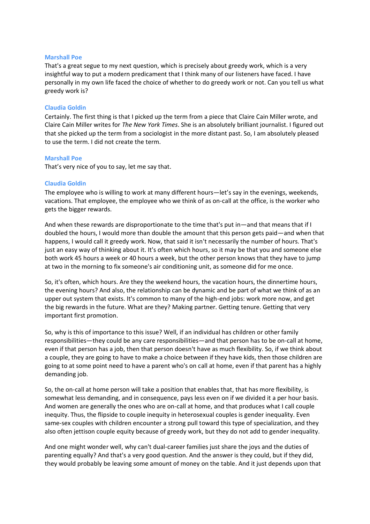That's a great segue to my next question, which is precisely about greedy work, which is a very insightful way to put a modern predicament that I think many of our listeners have faced. I have personally in my own life faced the choice of whether to do greedy work or not. Can you tell us what greedy work is?

# **Claudia Goldin**

Certainly. The first thing is that I picked up the term from a piece that Claire Cain Miller wrote, and Claire Cain Miller writes for *The New York Times*. She is an absolutely brilliant journalist. I figured out that she picked up the term from a sociologist in the more distant past. So, I am absolutely pleased to use the term. I did not create the term.

## **Marshall Poe**

That's very nice of you to say, let me say that.

# **Claudia Goldin**

The employee who is willing to work at many different hours—let's say in the evenings, weekends, vacations. That employee, the employee who we think of as on-call at the office, is the worker who gets the bigger rewards.

And when these rewards are disproportionate to the time that's put in—and that means that if I doubled the hours, I would more than double the amount that this person gets paid—and when that happens, I would call it greedy work. Now, that said it isn't necessarily the number of hours. That's just an easy way of thinking about it. It's often which hours, so it may be that you and someone else both work 45 hours a week or 40 hours a week, but the other person knows that they have to jump at two in the morning to fix someone's air conditioning unit, as someone did for me once.

So, it's often, which hours. Are they the weekend hours, the vacation hours, the dinnertime hours, the evening hours? And also, the relationship can be dynamic and be part of what we think of as an upper out system that exists. It's common to many of the high-end jobs: work more now, and get the big rewards in the future. What are they? Making partner. Getting tenure. Getting that very important first promotion.

So, why is this of importance to this issue? Well, if an individual has children or other family responsibilities—they could be any care responsibilities—and that person has to be on-call at home, even if that person has a job, then that person doesn't have as much flexibility. So, if we think about a couple, they are going to have to make a choice between if they have kids, then those children are going to at some point need to have a parent who's on call at home, even if that parent has a highly demanding job.

So, the on-call at home person will take a position that enables that, that has more flexibility, is somewhat less demanding, and in consequence, pays less even on if we divided it a per hour basis. And women are generally the ones who are on-call at home, and that produces what I call couple inequity. Thus, the flipside to couple inequity in heterosexual couples is gender inequality. Even same-sex couples with children encounter a strong pull toward this type of specialization, and they also often jettison couple equity because of greedy work, but they do not add to gender inequality.

And one might wonder well, why can't dual-career families just share the joys and the duties of parenting equally? And that's a very good question. And the answer is they could, but if they did, they would probably be leaving some amount of money on the table. And it just depends upon that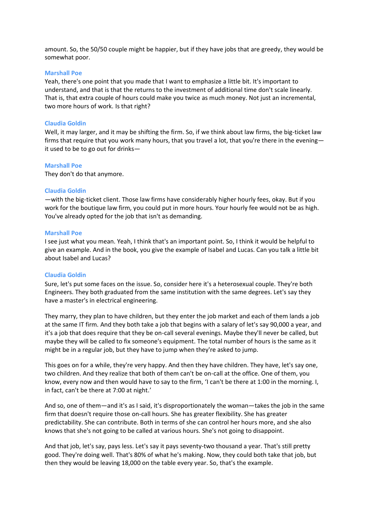amount. So, the 50/50 couple might be happier, but if they have jobs that are greedy, they would be somewhat poor.

## **Marshall Poe**

Yeah, there's one point that you made that I want to emphasize a little bit. It's important to understand, and that is that the returns to the investment of additional time don't scale linearly. That is, that extra couple of hours could make you twice as much money. Not just an incremental, two more hours of work. Is that right?

## **Claudia Goldin**

Well, it may larger, and it may be shifting the firm. So, if we think about law firms, the big-ticket law firms that require that you work many hours, that you travel a lot, that you're there in the evening it used to be to go out for drinks—

#### **Marshall Poe**

They don't do that anymore.

## **Claudia Goldin**

—with the big-ticket client. Those law firms have considerably higher hourly fees, okay. But if you work for the boutique law firm, you could put in more hours. Your hourly fee would not be as high. You've already opted for the job that isn't as demanding.

#### **Marshall Poe**

I see just what you mean. Yeah, I think that's an important point. So, I think it would be helpful to give an example. And in the book, you give the example of Isabel and Lucas. Can you talk a little bit about Isabel and Lucas?

# **Claudia Goldin**

Sure, let's put some faces on the issue. So, consider here it's a heterosexual couple. They're both Engineers. They both graduated from the same institution with the same degrees. Let's say they have a master's in electrical engineering.

They marry, they plan to have children, but they enter the job market and each of them lands a job at the same IT firm. And they both take a job that begins with a salary of let's say 90,000 a year, and it's a job that does require that they be on-call several evenings. Maybe they'll never be called, but maybe they will be called to fix someone's equipment. The total number of hours is the same as it might be in a regular job, but they have to jump when they're asked to jump.

This goes on for a while, they're very happy. And then they have children. They have, let's say one, two children. And they realize that both of them can't be on-call at the office. One of them, you know, every now and then would have to say to the firm, 'I can't be there at 1:00 in the morning. I, in fact, can't be there at 7:00 at night.'

And so, one of them—and it's as I said, it's disproportionately the woman—takes the job in the same firm that doesn't require those on-call hours. She has greater flexibility. She has greater predictability. She can contribute. Both in terms of she can control her hours more, and she also knows that she's not going to be called at various hours. She's not going to disappoint.

And that job, let's say, pays less. Let's say it pays seventy-two thousand a year. That's still pretty good. They're doing well. That's 80% of what he's making. Now, they could both take that job, but then they would be leaving 18,000 on the table every year. So, that's the example.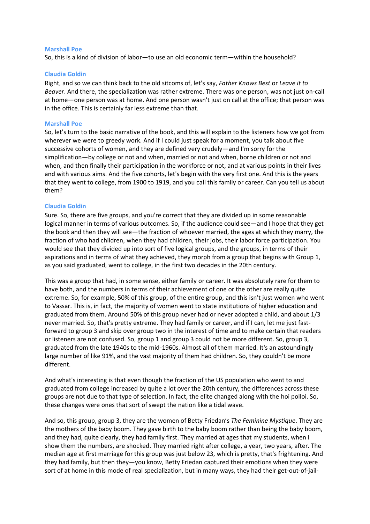So, this is a kind of division of labor—to use an old economic term—within the household?

# **Claudia Goldin**

Right, and so we can think back to the old sitcoms of, let's say, *Father Knows Best* or *Leave it to Beaver*. And there, the specialization was rather extreme. There was one person, was not just on-call at home—one person was at home. And one person wasn't just on call at the office; that person was in the office. This is certainly far less extreme than that.

#### **Marshall Poe**

So, let's turn to the basic narrative of the book, and this will explain to the listeners how we got from wherever we were to greedy work. And if I could just speak for a moment, you talk about five successive cohorts of women, and they are defined very crudely—and I'm sorry for the simplification—by college or not and when, married or not and when, borne children or not and when, and then finally their participation in the workforce or not, and at various points in their lives and with various aims. And the five cohorts, let's begin with the very first one. And this is the years that they went to college, from 1900 to 1919, and you call this family or career. Can you tell us about them?

## **Claudia Goldin**

Sure. So, there are five groups, and you're correct that they are divided up in some reasonable logical manner in terms of various outcomes. So, if the audience could see—and I hope that they get the book and then they will see—the fraction of whoever married, the ages at which they marry, the fraction of who had children, when they had children, their jobs, their labor force participation. You would see that they divided up into sort of five logical groups, and the groups, in terms of their aspirations and in terms of what they achieved, they morph from a group that begins with Group 1, as you said graduated, went to college, in the first two decades in the 20th century.

This was a group that had, in some sense, either family or career. It was absolutely rare for them to have both, and the numbers in terms of their achievement of one or the other are really quite extreme. So, for example, 50% of this group, of the entire group, and this isn't just women who went to Vassar. This is, in fact, the majority of women went to state institutions of higher education and graduated from them. Around 50% of this group never had or never adopted a child, and about 1/3 never married. So, that's pretty extreme. They had family or career, and if I can, let me just fastforward to group 3 and skip over group two in the interest of time and to make certain that readers or listeners are not confused. So, group 1 and group 3 could not be more different. So, group 3, graduated from the late 1940s to the mid-1960s. Almost all of them married. It's an astoundingly large number of like 91%, and the vast majority of them had children. So, they couldn't be more different.

And what's interesting is that even though the fraction of the US population who went to and graduated from college increased by quite a lot over the 20th century, the differences across these groups are not due to that type of selection. In fact, the elite changed along with the hoi polloi. So, these changes were ones that sort of swept the nation like a tidal wave.

And so, this group, group 3, they are the women of Betty Friedan's *The Feminine Mystique*. They are the mothers of the baby boom. They gave birth to the baby boom rather than being the baby boom, and they had, quite clearly, they had family first. They married at ages that my students, when I show them the numbers, are shocked. They married right after college, a year, two years, after. The median age at first marriage for this group was just below 23, which is pretty, that's frightening. And they had family, but then they—you know, Betty Friedan captured their emotions when they were sort of at home in this mode of real specialization, but in many ways, they had their get-out-of-jail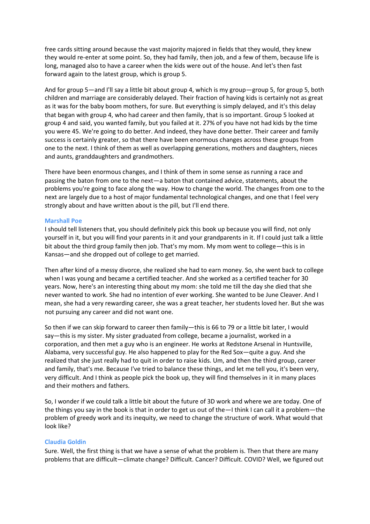free cards sitting around because the vast majority majored in fields that they would, they knew they would re-enter at some point. So, they had family, then job, and a few of them, because life is long, managed also to have a career when the kids were out of the house. And let's then fast forward again to the latest group, which is group 5.

And for group 5—and I'll say a little bit about group 4, which is my group—group 5, for group 5, both children and marriage are considerably delayed. Their fraction of having kids is certainly not as great as it was for the baby boom mothers, for sure. But everything is simply delayed, and it's this delay that began with group 4, who had career and then family, that is so important. Group 5 looked at group 4 and said, you wanted family, but you failed at it. 27% of you have not had kids by the time you were 45. We're going to do better. And indeed, they have done better. Their career and family success is certainly greater, so that there have been enormous changes across these groups from one to the next. I think of them as well as overlapping generations, mothers and daughters, nieces and aunts, granddaughters and grandmothers.

There have been enormous changes, and I think of them in some sense as running a race and passing the baton from one to the next—a baton that contained advice, statements, about the problems you're going to face along the way. How to change the world. The changes from one to the next are largely due to a host of major fundamental technological changes, and one that I feel very strongly about and have written about is the pill, but I'll end there.

# **Marshall Poe**

I should tell listeners that, you should definitely pick this book up because you will find, not only yourself in it, but you will find your parents in it and your grandparents in it. If I could just talk a little bit about the third group family then job. That's my mom. My mom went to college—this is in Kansas—and she dropped out of college to get married.

Then after kind of a messy divorce, she realized she had to earn money. So, she went back to college when I was young and became a certified teacher. And she worked as a certified teacher for 30 years. Now, here's an interesting thing about my mom: she told me till the day she died that she never wanted to work. She had no intention of ever working. She wanted to be June Cleaver. And I mean, she had a very rewarding career, she was a great teacher, her students loved her. But she was not pursuing any career and did not want one.

So then if we can skip forward to career then family—this is 66 to 79 or a little bit later, I would say—this is my sister. My sister graduated from college, became a journalist, worked in a corporation, and then met a guy who is an engineer. He works at Redstone Arsenal in Huntsville, Alabama, very successful guy. He also happened to play for the Red Sox—quite a guy. And she realized that she just really had to quit in order to raise kids. Um, and then the third group, career and family, that's me. Because I've tried to balance these things, and let me tell you, it's been very, very difficult. And I think as people pick the book up, they will find themselves in it in many places and their mothers and fathers.

So, I wonder if we could talk a little bit about the future of 3D work and where we are today. One of the things you say in the book is that in order to get us out of the—I think I can call it a problem—the problem of greedy work and its inequity, we need to change the structure of work. What would that look like?

# **Claudia Goldin**

Sure. Well, the first thing is that we have a sense of what the problem is. Then that there are many problems that are difficult—climate change? Difficult. Cancer? Difficult. COVID? Well, we figured out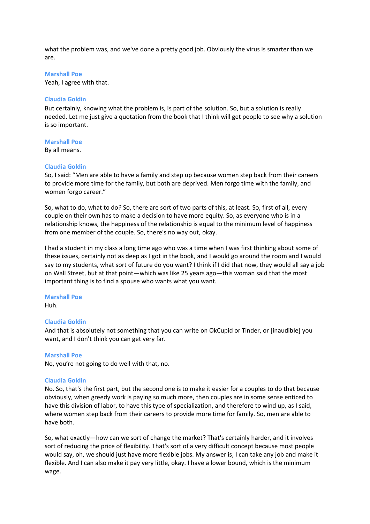what the problem was, and we've done a pretty good job. Obviously the virus is smarter than we are.

# **Marshall Poe**

Yeah, I agree with that.

# **Claudia Goldin**

But certainly, knowing what the problem is, is part of the solution. So, but a solution is really needed. Let me just give a quotation from the book that I think will get people to see why a solution is so important.

## **Marshall Poe**

By all means.

## **Claudia Goldin**

So, I said: "Men are able to have a family and step up because women step back from their careers to provide more time for the family, but both are deprived. Men forgo time with the family, and women forgo career."

So, what to do, what to do? So, there are sort of two parts of this, at least. So, first of all, every couple on their own has to make a decision to have more equity. So, as everyone who is in a relationship knows, the happiness of the relationship is equal to the minimum level of happiness from one member of the couple. So, there's no way out, okay.

I had a student in my class a long time ago who was a time when I was first thinking about some of these issues, certainly not as deep as I got in the book, and I would go around the room and I would say to my students, what sort of future do you want? I think if I did that now, they would all say a job on Wall Street, but at that point—which was like 25 years ago—this woman said that the most important thing is to find a spouse who wants what you want.

# **Marshall Poe**

Huh.

# **Claudia Goldin**

And that is absolutely not something that you can write on OkCupid or Tinder, or [inaudible] you want, and I don't think you can get very far.

# **Marshall Poe**

No, you're not going to do well with that, no.

# **Claudia Goldin**

No. So, that's the first part, but the second one is to make it easier for a couples to do that because obviously, when greedy work is paying so much more, then couples are in some sense enticed to have this division of labor, to have this type of specialization, and therefore to wind up, as I said, where women step back from their careers to provide more time for family. So, men are able to have both.

So, what exactly—how can we sort of change the market? That's certainly harder, and it involves sort of reducing the price of flexibility. That's sort of a very difficult concept because most people would say, oh, we should just have more flexible jobs. My answer is, I can take any job and make it flexible. And I can also make it pay very little, okay. I have a lower bound, which is the minimum wage.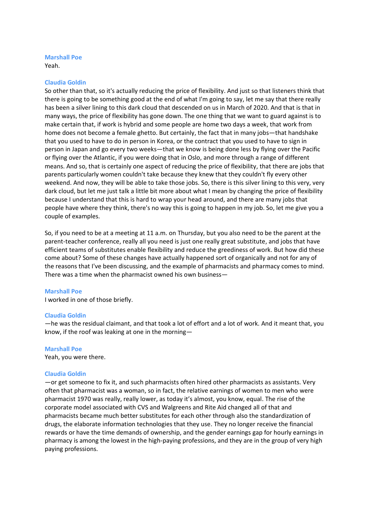Yeah.

# **Claudia Goldin**

So other than that, so it's actually reducing the price of flexibility. And just so that listeners think that there is going to be something good at the end of what I'm going to say, let me say that there really has been a silver lining to this dark cloud that descended on us in March of 2020. And that is that in many ways, the price of flexibility has gone down. The one thing that we want to guard against is to make certain that, if work is hybrid and some people are home two days a week, that work from home does not become a female ghetto. But certainly, the fact that in many jobs—that handshake that you used to have to do in person in Korea, or the contract that you used to have to sign in person in Japan and go every two weeks—that we know is being done less by flying over the Pacific or flying over the Atlantic, if you were doing that in Oslo, and more through a range of different means. And so, that is certainly one aspect of reducing the price of flexibility, that there are jobs that parents particularly women couldn't take because they knew that they couldn't fly every other weekend. And now, they will be able to take those jobs. So, there is this silver lining to this very, very dark cloud, but let me just talk a little bit more about what I mean by changing the price of flexibility because I understand that this is hard to wrap your head around, and there are many jobs that people have where they think, there's no way this is going to happen in my job. So, let me give you a couple of examples.

So, if you need to be at a meeting at 11 a.m. on Thursday, but you also need to be the parent at the parent-teacher conference, really all you need is just one really great substitute, and jobs that have efficient teams of substitutes enable flexibility and reduce the greediness of work. But how did these come about? Some of these changes have actually happened sort of organically and not for any of the reasons that I've been discussing, and the example of pharmacists and pharmacy comes to mind. There was a time when the pharmacist owned his own business—

# **Marshall Poe**

I worked in one of those briefly.

# **Claudia Goldin**

—he was the residual claimant, and that took a lot of effort and a lot of work. And it meant that, you know, if the roof was leaking at one in the morning—

# **Marshall Poe**

Yeah, you were there.

# **Claudia Goldin**

—or get someone to fix it, and such pharmacists often hired other pharmacists as assistants. Very often that pharmacist was a woman, so in fact, the relative earnings of women to men who were pharmacist 1970 was really, really lower, as today it's almost, you know, equal. The rise of the corporate model associated with CVS and Walgreens and Rite Aid changed all of that and pharmacists became much better substitutes for each other through also the standardization of drugs, the elaborate information technologies that they use. They no longer receive the financial rewards or have the time demands of ownership, and the gender earnings gap for hourly earnings in pharmacy is among the lowest in the high-paying professions, and they are in the group of very high paying professions.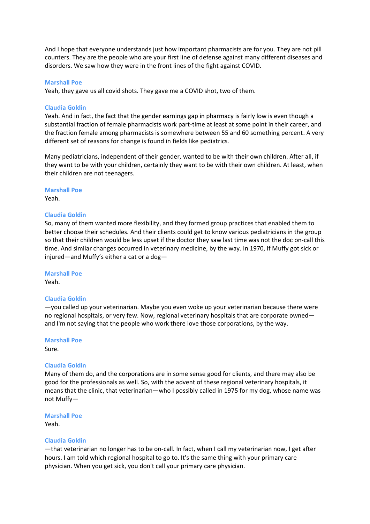And I hope that everyone understands just how important pharmacists are for you. They are not pill counters. They are the people who are your first line of defense against many different diseases and disorders. We saw how they were in the front lines of the fight against COVID.

## **Marshall Poe**

Yeah, they gave us all covid shots. They gave me a COVID shot, two of them.

# **Claudia Goldin**

Yeah. And in fact, the fact that the gender earnings gap in pharmacy is fairly low is even though a substantial fraction of female pharmacists work part-time at least at some point in their career, and the fraction female among pharmacists is somewhere between 55 and 60 something percent. A very different set of reasons for change is found in fields like pediatrics.

Many pediatricians, independent of their gender, wanted to be with their own children. After all, if they want to be with your children, certainly they want to be with their own children. At least, when their children are not teenagers.

#### **Marshall Poe**

Yeah.

#### **Claudia Goldin**

So, many of them wanted more flexibility, and they formed group practices that enabled them to better choose their schedules. And their clients could get to know various pediatricians in the group so that their children would be less upset if the doctor they saw last time was not the doc on-call this time. And similar changes occurred in veterinary medicine, by the way. In 1970, if Muffy got sick or injured—and Muffy's either a cat or a dog—

**Marshall Poe**

Yeah.

# **Claudia Goldin**

—you called up your veterinarian. Maybe you even woke up your veterinarian because there were no regional hospitals, or very few. Now, regional veterinary hospitals that are corporate owned and I'm not saying that the people who work there love those corporations, by the way.

**Marshall Poe** Sure.

#### **Claudia Goldin**

Many of them do, and the corporations are in some sense good for clients, and there may also be good for the professionals as well. So, with the advent of these regional veterinary hospitals, it means that the clinic, that veterinarian—who I possibly called in 1975 for my dog, whose name was not Muffy—

### **Marshall Poe**

Yeah.

# **Claudia Goldin**

—that veterinarian no longer has to be on-call. In fact, when I call my veterinarian now, I get after hours. I am told which regional hospital to go to. It's the same thing with your primary care physician. When you get sick, you don't call your primary care physician.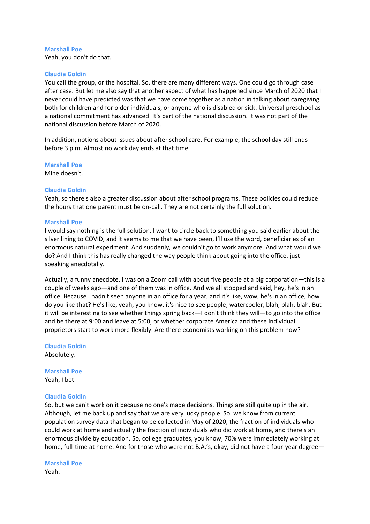Yeah, you don't do that.

# **Claudia Goldin**

You call the group, or the hospital. So, there are many different ways. One could go through case after case. But let me also say that another aspect of what has happened since March of 2020 that I never could have predicted was that we have come together as a nation in talking about caregiving, both for children and for older individuals, or anyone who is disabled or sick. Universal preschool as a national commitment has advanced. It's part of the national discussion. It was not part of the national discussion before March of 2020.

In addition, notions about issues about after school care. For example, the school day still ends before 3 p.m. Almost no work day ends at that time.

**Marshall Poe** Mine doesn't.

## **Claudia Goldin**

Yeah, so there's also a greater discussion about after school programs. These policies could reduce the hours that one parent must be on-call. They are not certainly the full solution.

#### **Marshall Poe**

I would say nothing is the full solution. I want to circle back to something you said earlier about the silver lining to COVID, and it seems to me that we have been, I'll use the word, beneficiaries of an enormous natural experiment. And suddenly, we couldn't go to work anymore. And what would we do? And I think this has really changed the way people think about going into the office, just speaking anecdotally.

Actually, a funny anecdote. I was on a Zoom call with about five people at a big corporation—this is a couple of weeks ago—and one of them was in office. And we all stopped and said, hey, he's in an office. Because I hadn't seen anyone in an office for a year, and it's like, wow, he's in an office, how do you like that? He's like, yeah, you know, it's nice to see people, watercooler, blah, blah, blah. But it will be interesting to see whether things spring back—I don't think they will—to go into the office and be there at 9:00 and leave at 5:00, or whether corporate America and these individual proprietors start to work more flexibly. Are there economists working on this problem now?

**Claudia Goldin** Absolutely.

**Marshall Poe** Yeah, I bet.

# **Claudia Goldin**

So, but we can't work on it because no one's made decisions. Things are still quite up in the air. Although, let me back up and say that we are very lucky people. So, we know from current population survey data that began to be collected in May of 2020, the fraction of individuals who could work at home and actually the fraction of individuals who did work at home, and there's an enormous divide by education. So, college graduates, you know, 70% were immediately working at home, full-time at home. And for those who were not B.A.'s, okay, did not have a four-year degree—

**Marshall Poe**

Yeah.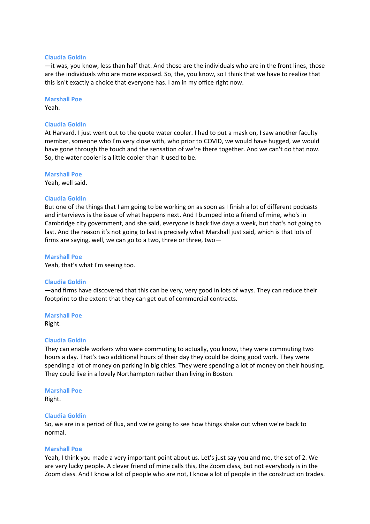#### **Claudia Goldin**

—it was, you know, less than half that. And those are the individuals who are in the front lines, those are the individuals who are more exposed. So, the, you know, so I think that we have to realize that this isn't exactly a choice that everyone has. I am in my office right now.

**Marshall Poe**

Yeah.

# **Claudia Goldin**

At Harvard. I just went out to the quote water cooler. I had to put a mask on, I saw another faculty member, someone who I'm very close with, who prior to COVID, we would have hugged, we would have gone through the touch and the sensation of we're there together. And we can't do that now. So, the water cooler is a little cooler than it used to be.

**Marshall Poe**

Yeah, well said.

## **Claudia Goldin**

But one of the things that I am going to be working on as soon as I finish a lot of different podcasts and interviews is the issue of what happens next. And I bumped into a friend of mine, who's in Cambridge city government, and she said, everyone is back five days a week, but that's not going to last. And the reason it's not going to last is precisely what Marshall just said, which is that lots of firms are saying, well, we can go to a two, three or three, two—

#### **Marshall Poe**

Yeah, that's what I'm seeing too.

#### **Claudia Goldin**

—and firms have discovered that this can be very, very good in lots of ways. They can reduce their footprint to the extent that they can get out of commercial contracts.

**Marshall Poe** Right.

#### **Claudia Goldin**

They can enable workers who were commuting to actually, you know, they were commuting two hours a day. That's two additional hours of their day they could be doing good work. They were spending a lot of money on parking in big cities. They were spending a lot of money on their housing. They could live in a lovely Northampton rather than living in Boston.

#### **Marshall Poe**

Right.

#### **Claudia Goldin**

So, we are in a period of flux, and we're going to see how things shake out when we're back to normal.

#### **Marshall Poe**

Yeah, I think you made a very important point about us. Let's just say you and me, the set of 2. We are very lucky people. A clever friend of mine calls this, the Zoom class, but not everybody is in the Zoom class. And I know a lot of people who are not, I know a lot of people in the construction trades.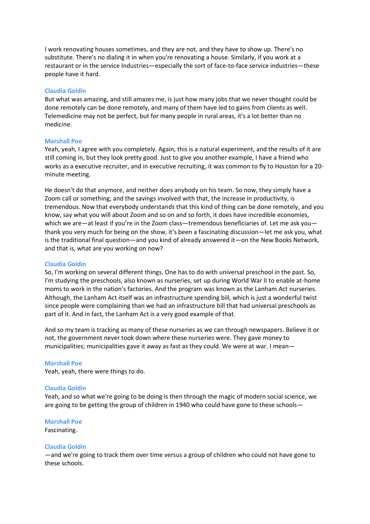I work renovating houses sometimes, and they are not, and they have to show up. There's no substitute. There's no dialing it in when you're renovating a house. Similarly, if you work at a restaurant or in the service Industries—especially the sort of face-to-face service industries—these people have it hard.

# **Claudia Goldin**

But what was amazing, and still amazes me, is just how many jobs that we never thought could be done remotely can be done remotely, and many of them have led to gains from clients as well. Telemedicine may not be perfect, but for many people in rural areas, it's a lot better than no medicine.

#### **Marshall Poe**

Yeah, yeah, I agree with you completely. Again, this is a natural experiment, and the results of it are still coming in, but they look pretty good. Just to give you another example, I have a friend who works as a executive recruiter, and in executive recruiting, it was common to fly to Houston for a 20 minute meeting.

He doesn't do that anymore, and neither does anybody on his team. So now, they simply have a Zoom call or something, and the savings involved with that, the increase in productivity, is tremendous. Now that everybody understands that this kind of thing can be done remotely, and you know, say what you will about Zoom and so on and so forth, it does have incredible economies, which we are—at least if you're in the Zoom class—tremendous beneficiaries of. Let me ask you thank you very much for being on the show, it's been a fascinating discussion—let me ask you, what is the traditional final question—and you kind of already answered it—on the New Books Network, and that is, what are you working on now?

#### **Claudia Goldin**

So, I'm working on several different things. One has to do with universal preschool in the past. So, I'm studying the preschools, also known as nurseries, set up during World War II to enable at-home moms to work in the nation's factories. And the program was known as the Lanham Act nurseries. Although, the Lanham Act itself was an infrastructure spending bill, which is just a wonderful twist since people were complaining than we had an infrastructure bill that had universal preschools as part of it. And in fact, the Lanham Act is a very good example of that.

And so my team is tracking as many of these nurseries as we can through newspapers. Believe it or not, the government never took down where these nurseries were. They gave money to municipalities; municipalities gave it away as fast as they could. We were at war. I mean—

#### **Marshall Poe**

Yeah, yeah, there were things to do.

#### **Claudia Goldin**

Yeah, and so what we're going to be doing is then through the magic of modern social science, we are going to be getting the group of children in 1940 who could have gone to these schools—

# **Marshall Poe**

Fascinating.

#### **Claudia Goldin**

—and we're going to track them over time versus a group of children who could not have gone to these schools.